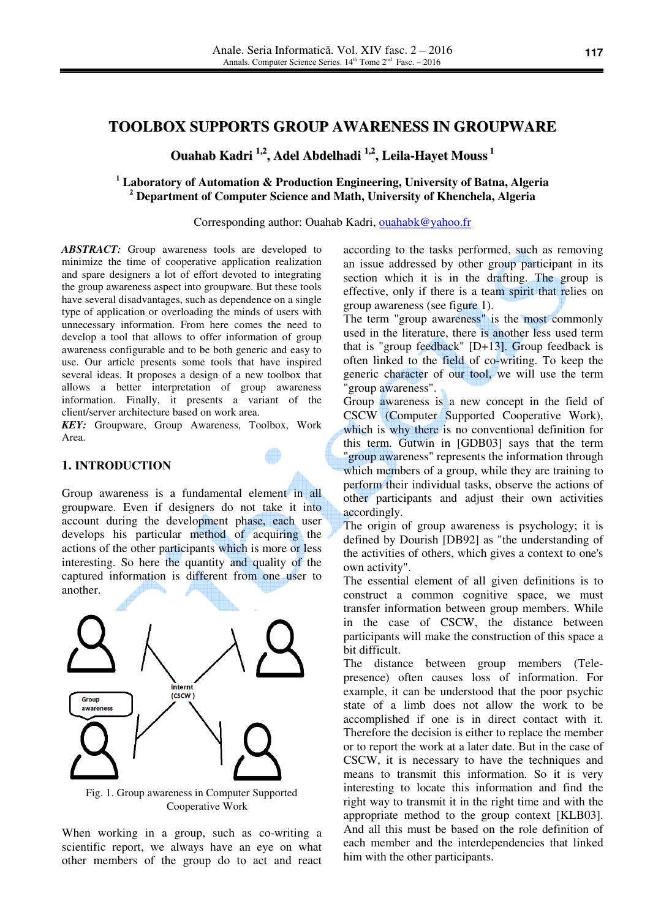# **TOOLBOX SUPPORTS GROUP AWARENESS IN GROUPWARE**

**Ouahab Kadri 1,2 , Adel Abdelhadi 1,2 , Leila-Hayet Mouss 1**

## **1 Laboratory of Automation & Production Engineering, University of Batna, Algeria 2 Department of Computer Science and Math, University of Khenchela, Algeria**

Corresponding author: Ouahab Kadri, ouahabk@yahoo.fr

*ABSTRACT:* Group awareness tools are developed to minimize the time of cooperative application realization and spare designers a lot of effort devoted to integrating the group awareness aspect into groupware. But these tools have several disadvantages, such as dependence on a single type of application or overloading the minds of users with unnecessary information. From here comes the need to develop a tool that allows to offer information of group awareness configurable and to be both generic and easy to use. Our article presents some tools that have inspired several ideas. It proposes a design of a new toolbox that allows a better interpretation of group awareness information. Finally, it presents a variant of the client/server architecture based on work area.

*KEY:* Groupware, Group Awareness, Toolbox, Work Area.

#### **1. INTRODUCTION**

Group awareness is a fundamental element in all groupware. Even if designers do not take it into account during the development phase, each user develops his particular method of acquiring the actions of the other participants which is more or less interesting. So here the quantity and quality of the captured information is different from one user to another.



Fig. 1. Group awareness in Computer Supported Cooperative Work

When working in a group, such as co-writing a scientific report, we always have an eye on what other members of the group do to act and react

according to the tasks performed, such as removing an issue addressed by other group participant in its section which it is in the drafting. The group is effective, only if there is a team spirit that relies on group awareness (see figure 1).

The term "group awareness" is the most commonly used in the literature, there is another less used term that is "group feedback"  $[D+13]$ . Group feedback is often linked to the field of co-writing. To keep the generic character of our tool, we will use the term "group awareness".

Group awareness is a new concept in the field of CSCW (Computer Supported Cooperative Work), which is why there is no conventional definition for this term. Gutwin in [GDB03] says that the term "group awareness" represents the information through which members of a group, while they are training to perform their individual tasks, observe the actions of other participants and adjust their own activities accordingly.

The origin of group awareness is psychology; it is defined by Dourish [DB92] as "the understanding of the activities of others, which gives a context to one's own activity".

The essential element of all given definitions is to construct a common cognitive space, we must transfer information between group members. While in the case of CSCW, the distance between participants will make the construction of this space a bit difficult.

The distance between group members (Telepresence) often causes loss of information. For example, it can be understood that the poor psychic state of a limb does not allow the work to be accomplished if one is in direct contact with it. Therefore the decision is either to replace the member or to report the work at a later date. But in the case of CSCW, it is necessary to have the techniques and means to transmit this information. So it is very interesting to locate this information and find the right way to transmit it in the right time and with the appropriate method to the group context [KLB03]. And all this must be based on the role definition of each member and the interdependencies that linked him with the other participants.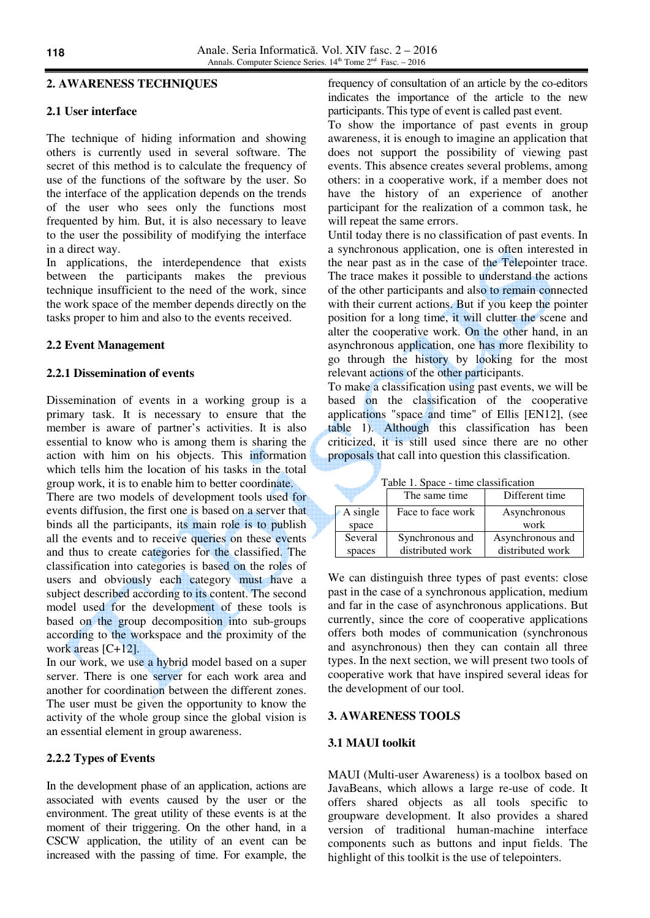## **2. AWARENESS TECHNIQUES**

### **2.1 User interface**

The technique of hiding information and showing others is currently used in several software. The secret of this method is to calculate the frequency of use of the functions of the software by the user. So the interface of the application depends on the trends of the user who sees only the functions most frequented by him. But, it is also necessary to leave to the user the possibility of modifying the interface in a direct way.

In applications, the interdependence that exists between the participants makes the previous technique insufficient to the need of the work, since the work space of the member depends directly on the tasks proper to him and also to the events received.

## **2.2 Event Management**

#### **2.2.1 Dissemination of events**

Dissemination of events in a working group is a primary task. It is necessary to ensure that the member is aware of partner's activities. It is also essential to know who is among them is sharing the action with him on his objects. This information which tells him the location of his tasks in the total group work, it is to enable him to better coordinate.

There are two models of development tools used for events diffusion, the first one is based on a server that binds all the participants, its main role is to publish all the events and to receive queries on these events and thus to create categories for the classified. The classification into categories is based on the roles of users and obviously each category must have a subject described according to its content. The second model used for the development of these tools is based on the group decomposition into sub-groups according to the workspace and the proximity of the work areas [C+12].

In our work, we use a hybrid model based on a super server. There is one server for each work area and another for coordination between the different zones. The user must be given the opportunity to know the activity of the whole group since the global vision is an essential element in group awareness.

## **2.2.2 Types of Events**

In the development phase of an application, actions are associated with events caused by the user or the environment. The great utility of these events is at the moment of their triggering. On the other hand, in a CSCW application, the utility of an event can be increased with the passing of time. For example, the frequency of consultation of an article by the co-editors indicates the importance of the article to the new participants. This type of event is called past event.

To show the importance of past events in group awareness, it is enough to imagine an application that does not support the possibility of viewing past events. This absence creates several problems, among others: in a cooperative work, if a member does not have the history of an experience of another participant for the realization of a common task, he will repeat the same errors.

Until today there is no classification of past events. In a synchronous application, one is often interested in the near past as in the case of the Telepointer trace. The trace makes it possible to understand the actions of the other participants and also to remain connected with their current actions. But if you keep the pointer position for a long time, it will clutter the scene and alter the cooperative work. On the other hand, in an asynchronous application, one has more flexibility to go through the history by looking for the most relevant actions of the other participants.

To make a classification using past events, we will be based on the classification of the cooperative applications "space and time" of Ellis [EN12], (see table 1). Although this classification has been criticized, it is still used since there are no other proposals that call into question this classification.

Table 1. Space - time classification

|          | The same time.    | Different time   |
|----------|-------------------|------------------|
| A single | Face to face work | Asynchronous     |
| space    |                   | work             |
| Several  | Synchronous and   | Asynchronous and |
| spaces   | distributed work  | distributed work |

We can distinguish three types of past events: close past in the case of a synchronous application, medium and far in the case of asynchronous applications. But currently, since the core of cooperative applications offers both modes of communication (synchronous and asynchronous) then they can contain all three types. In the next section, we will present two tools of cooperative work that have inspired several ideas for the development of our tool.

## **3. AWARENESS TOOLS**

#### **3.1 MAUI toolkit**

MAUI (Multi-user Awareness) is a toolbox based on JavaBeans, which allows a large re-use of code. It offers shared objects as all tools specific to groupware development. It also provides a shared version of traditional human-machine interface components such as buttons and input fields. The highlight of this toolkit is the use of telepointers.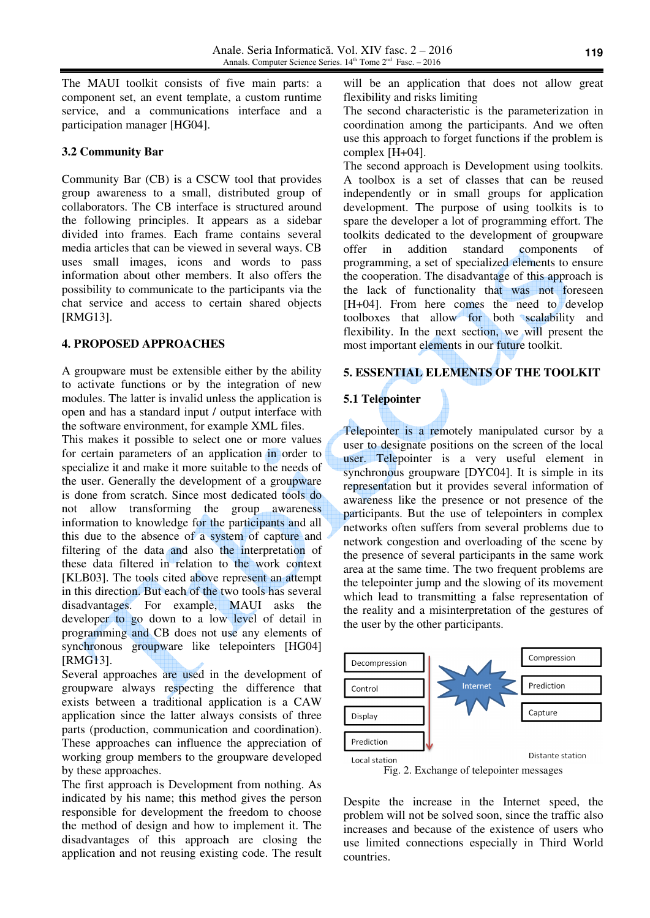The MAUI toolkit consists of five main parts: a component set, an event template, a custom runtime service, and a communications interface and a participation manager [HG04].

### **3.2 Community Bar**

Community Bar (CB) is a CSCW tool that provides group awareness to a small, distributed group of collaborators. The CB interface is structured around the following principles. It appears as a sidebar divided into frames. Each frame contains several media articles that can be viewed in several ways. CB uses small images, icons and words to pass information about other members. It also offers the possibility to communicate to the participants via the chat service and access to certain shared objects [RMG13].

## **4. PROPOSED APPROACHES**

A groupware must be extensible either by the ability to activate functions or by the integration of new modules. The latter is invalid unless the application is open and has a standard input / output interface with the software environment, for example XML files.

This makes it possible to select one or more values for certain parameters of an application in order to specialize it and make it more suitable to the needs of the user. Generally the development of a groupware is done from scratch. Since most dedicated tools do not allow transforming the group awareness information to knowledge for the participants and all this due to the absence of a system of capture and filtering of the data and also the interpretation of these data filtered in relation to the work context [KLB03]. The tools cited above represent an attempt in this direction. But each of the two tools has several disadvantages. For example, MAUI asks the developer to go down to a low level of detail in programming and CB does not use any elements of synchronous groupware like telepointers [HG04] [RMG13].

Several approaches are used in the development of groupware always respecting the difference that exists between a traditional application is a CAW application since the latter always consists of three parts (production, communication and coordination). These approaches can influence the appreciation of working group members to the groupware developed by these approaches.

The first approach is Development from nothing. As indicated by his name; this method gives the person responsible for development the freedom to choose the method of design and how to implement it. The disadvantages of this approach are closing the application and not reusing existing code. The result

will be an application that does not allow great flexibility and risks limiting

The second characteristic is the parameterization in coordination among the participants. And we often use this approach to forget functions if the problem is complex [H+04].

The second approach is Development using toolkits. A toolbox is a set of classes that can be reused independently or in small groups for application development. The purpose of using toolkits is to spare the developer a lot of programming effort. The toolkits dedicated to the development of groupware offer in addition standard components of programming, a set of specialized elements to ensure the cooperation. The disadvantage of this approach is the lack of functionality that was not foreseen [H+04]. From here comes the need to develop toolboxes that allow for both scalability and flexibility. In the next section, we will present the most important elements in our future toolkit.

#### **5. ESSENTIAL ELEMENTS OF THE TOOLKIT**

#### **5.1 Telepointer**

Telepointer is a remotely manipulated cursor by a user to designate positions on the screen of the local user. Telepointer is a very useful element in synchronous groupware [DYC04]. It is simple in its representation but it provides several information of awareness like the presence or not presence of the participants. But the use of telepointers in complex networks often suffers from several problems due to network congestion and overloading of the scene by the presence of several participants in the same work area at the same time. The two frequent problems are the telepointer jump and the slowing of its movement which lead to transmitting a false representation of the reality and a misinterpretation of the gestures of the user by the other participants.



Fig. 2. Exchange of telepointer messages

Despite the increase in the Internet speed, the problem will not be solved soon, since the traffic also increases and because of the existence of users who use limited connections especially in Third World countries.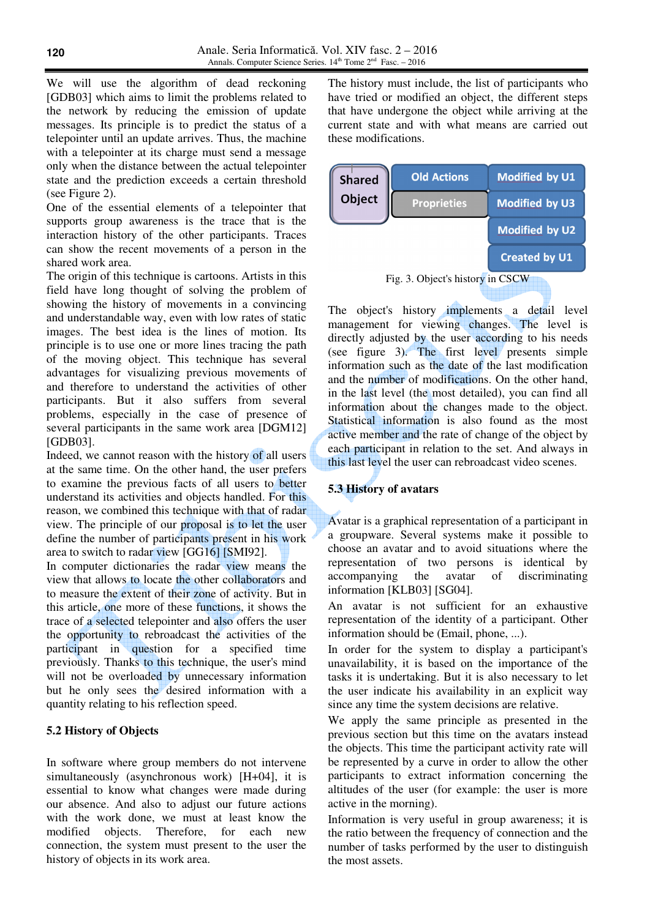We will use the algorithm of dead reckoning [GDB03] which aims to limit the problems related to the network by reducing the emission of update messages. Its principle is to predict the status of a telepointer until an update arrives. Thus, the machine with a telepointer at its charge must send a message only when the distance between the actual telepointer state and the prediction exceeds a certain threshold (see Figure 2).

One of the essential elements of a telepointer that supports group awareness is the trace that is the interaction history of the other participants. Traces can show the recent movements of a person in the shared work area.

The origin of this technique is cartoons. Artists in this field have long thought of solving the problem of showing the history of movements in a convincing and understandable way, even with low rates of static images. The best idea is the lines of motion. Its principle is to use one or more lines tracing the path of the moving object. This technique has several advantages for visualizing previous movements of and therefore to understand the activities of other participants. But it also suffers from several problems, especially in the case of presence of several participants in the same work area [DGM12] [GDB03].

Indeed, we cannot reason with the history of all users at the same time. On the other hand, the user prefers to examine the previous facts of all users to better understand its activities and objects handled. For this reason, we combined this technique with that of radar view. The principle of our proposal is to let the user define the number of participants present in his work area to switch to radar view [GG16] [SMI92].

In computer dictionaries the radar view means the view that allows to locate the other collaborators and to measure the extent of their zone of activity. But in this article, one more of these functions, it shows the trace of a selected telepointer and also offers the user the opportunity to rebroadcast the activities of the participant in question for a specified time previously. Thanks to this technique, the user's mind will not be overloaded by unnecessary information but he only sees the desired information with a quantity relating to his reflection speed.

## **5.2 History of Objects**

In software where group members do not intervene simultaneously (asynchronous work) [H+04], it is essential to know what changes were made during our absence. And also to adjust our future actions with the work done, we must at least know the modified objects. Therefore, for each new connection, the system must present to the user the history of objects in its work area.

The history must include, the list of participants who have tried or modified an object, the different steps that have undergone the object while arriving at the current state and with what means are carried out these modifications.

| <b>Shared</b>                    | <b>Old Actions</b> | <b>Modified by U1</b> |
|----------------------------------|--------------------|-----------------------|
| Object                           | <b>Proprieties</b> | <b>Modified by U3</b> |
|                                  |                    | <b>Modified by U2</b> |
|                                  |                    | <b>Created by U1</b>  |
| Fig. 3. Object's history in CSCW |                    |                       |

The object's history implements a detail level management for viewing changes. The level is directly adjusted by the user according to his needs (see figure 3). The first level presents simple information such as the date of the last modification and the number of modifications. On the other hand, in the last level (the most detailed), you can find all information about the changes made to the object. Statistical information is also found as the most active member and the rate of change of the object by each participant in relation to the set. And always in this last level the user can rebroadcast video scenes.

## **5.3 History of avatars**

Avatar is a graphical representation of a participant in a groupware. Several systems make it possible to choose an avatar and to avoid situations where the representation of two persons is identical by accompanying the avatar of discriminating information [KLB03] [SG04].

An avatar is not sufficient for an exhaustive representation of the identity of a participant. Other information should be (Email, phone, ...).

In order for the system to display a participant's unavailability, it is based on the importance of the tasks it is undertaking. But it is also necessary to let the user indicate his availability in an explicit way since any time the system decisions are relative.

We apply the same principle as presented in the previous section but this time on the avatars instead the objects. This time the participant activity rate will be represented by a curve in order to allow the other participants to extract information concerning the altitudes of the user (for example: the user is more active in the morning).

Information is very useful in group awareness; it is the ratio between the frequency of connection and the number of tasks performed by the user to distinguish the most assets.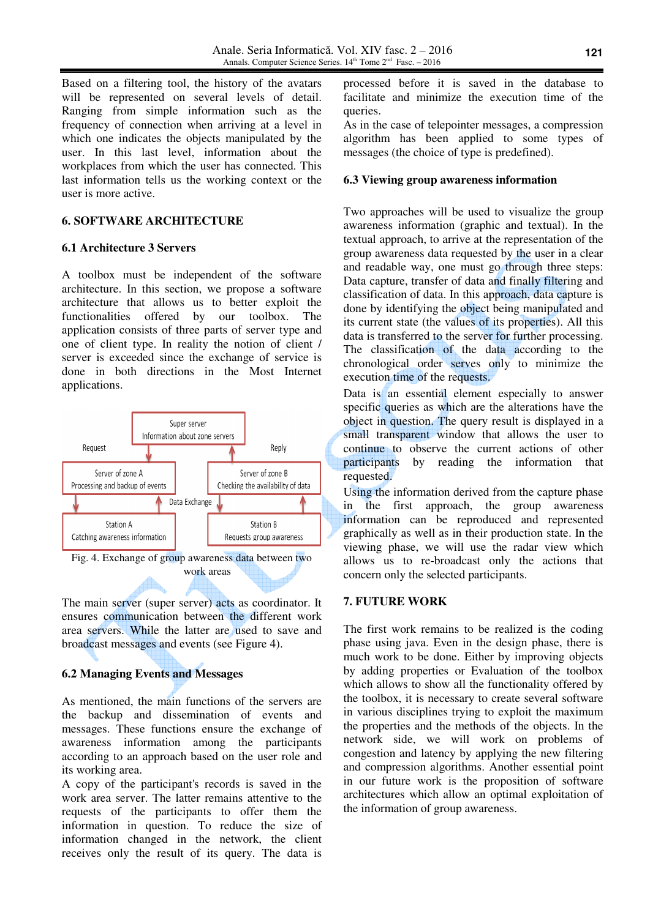Based on a filtering tool, the history of the avatars will be represented on several levels of detail. Ranging from simple information such as the frequency of connection when arriving at a level in which one indicates the objects manipulated by the user. In this last level, information about the workplaces from which the user has connected. This last information tells us the working context or the user is more active.

## **6. SOFTWARE ARCHITECTURE**

## **6.1 Architecture 3 Servers**

A toolbox must be independent of the software architecture. In this section, we propose a software architecture that allows us to better exploit the functionalities offered by our toolbox. The application consists of three parts of server type and one of client type. In reality the notion of client / server is exceeded since the exchange of service is done in both directions in the Most Internet applications.



The main server (super server) acts as coordinator. It ensures communication between the different work area servers. While the latter are used to save and broadcast messages and events (see Figure 4).

## **6.2 Managing Events and Messages**

As mentioned, the main functions of the servers are the backup and dissemination of events and messages. These functions ensure the exchange of awareness information among the participants according to an approach based on the user role and its working area.

A copy of the participant's records is saved in the work area server. The latter remains attentive to the requests of the participants to offer them the information in question. To reduce the size of information changed in the network, the client receives only the result of its query. The data is

processed before it is saved in the database to facilitate and minimize the execution time of the queries.

As in the case of telepointer messages, a compression algorithm has been applied to some types of messages (the choice of type is predefined).

### **6.3 Viewing group awareness information**

Two approaches will be used to visualize the group awareness information (graphic and textual). In the textual approach, to arrive at the representation of the group awareness data requested by the user in a clear and readable way, one must go through three steps: Data capture, transfer of data and finally filtering and classification of data. In this approach, data capture is done by identifying the object being manipulated and its current state (the values of its properties). All this data is transferred to the server for further processing. The classification of the data according to the chronological order serves only to minimize the execution time of the requests.

Data is an essential element especially to answer specific queries as which are the alterations have the object in question. The query result is displayed in a small transparent window that allows the user to continue to observe the current actions of other participants by reading the information that requested.

Using the information derived from the capture phase in the first approach, the group awareness information can be reproduced and represented graphically as well as in their production state. In the viewing phase, we will use the radar view which allows us to re-broadcast only the actions that concern only the selected participants.

## **7. FUTURE WORK**

The first work remains to be realized is the coding phase using java. Even in the design phase, there is much work to be done. Either by improving objects by adding properties or Evaluation of the toolbox which allows to show all the functionality offered by the toolbox, it is necessary to create several software in various disciplines trying to exploit the maximum the properties and the methods of the objects. In the network side, we will work on problems of congestion and latency by applying the new filtering and compression algorithms. Another essential point in our future work is the proposition of software architectures which allow an optimal exploitation of the information of group awareness.